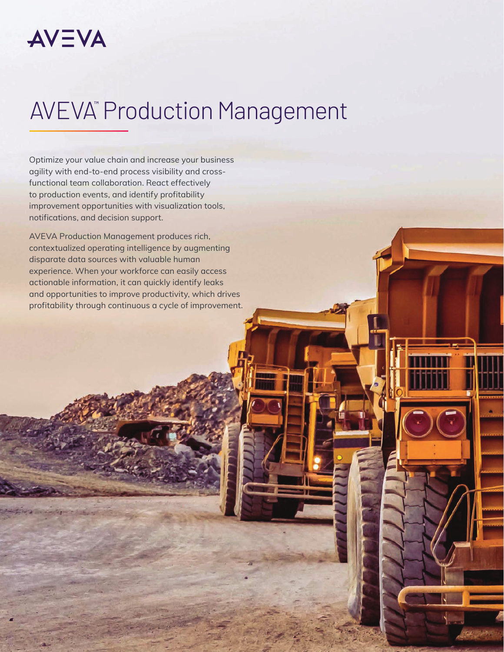# **AVEVA®** Production Management

Optimize your value chain and increase your business agility with end-to-end process visibility and crossfunctional team collaboration. React effectively to production events, and identify profitability improvement opportunities with visualization tools, notifications, and decision support.

AVEVA Production Management produces rich, contextualized operating intelligence by augmenting disparate data sources with valuable human experience. When your workforce can easily access actionable information, it can quickly identify leaks and opportunities to improve productivity, which drives profitability through continuous a cycle of improvement.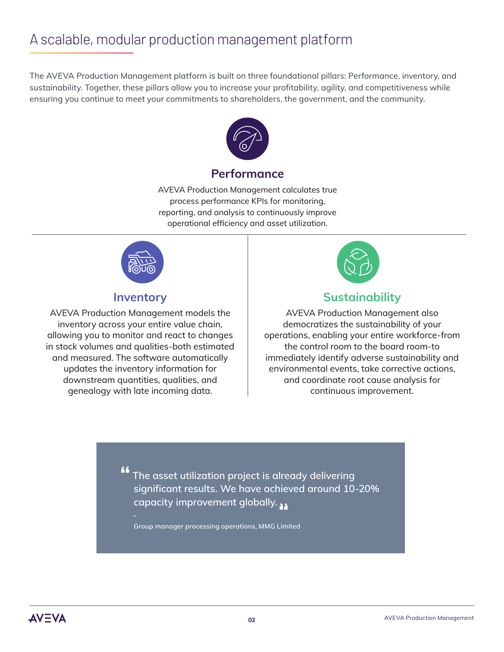# A scalable, modular production management platform

The AVEVA Production Management platform is built on three foundational pillars: Performance, inventory, and sustainability. Together, these pillars allow you to increase your profitability, agility, and competitiveness while ensuring you continue to meet your commitments to shareholders, the government, and the community.



### **Performance**

AVEVA Production Management calculates true process performance KPIs for monitoring, reporting, and analysis to continuously improve operational efficiency and asset utilization.



### **Inventory**

AVEVA Production Management models the inventory across your entire value chain, allowing you to monitor and react to changes in stock volumes and qualities-both estimated and measured. The software automatically updates the inventory information for downstream quantities, qualities, and genealogy with late incoming data.



### **Sustainability**

AVEVA Production Management also democratizes the sustainability of your operations, enabling your entire workforce-from the control room to the board room-to immediately identify adverse sustainability and environmental events, take corrective actions, and coordinate root cause analysis for continuous improvement.

**The asset utilization project is already delivering significant results. We have achieved around 10-20% capacity improvement globally. ""**

**Group manager processing operations, MMG Limited**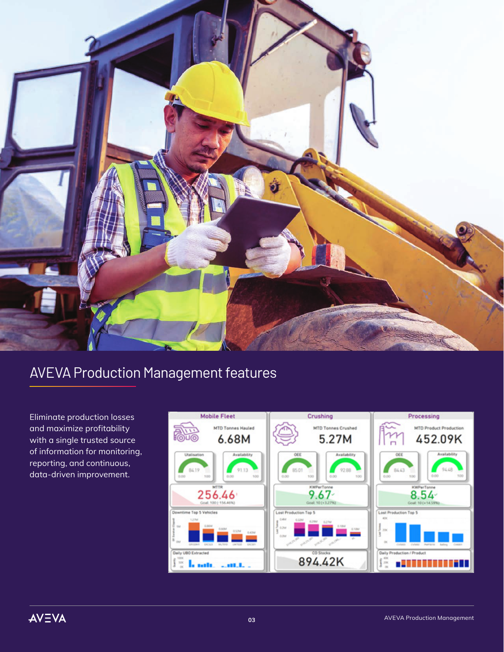

# AVEVA Production Management features

Eliminate production losses and maximize profitability with a single trusted source of information for monitoring, reporting, and continuous, data-driven improvement.

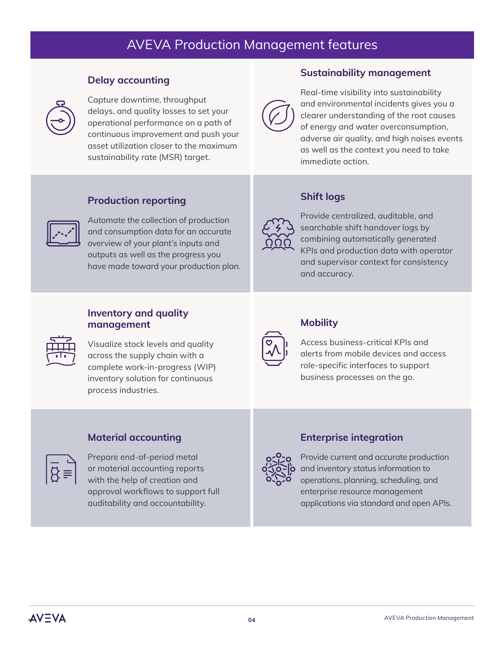### AVEVA Production Management features

#### **Delay accounting**



Capture downtime, throughput delays, and quality losses to set your operational performance on a path of continuous improvement and push your asset utilization closer to the maximum sustainability rate (MSR) target.

### **Sustainability management**



Real-time visibility into sustainability and environmental incidents gives you a clearer understanding of the root causes of energy and water overconsumption, adverse air quality, and high noises events as well as the context you need to take immediate action.

#### **Production reporting**



Automate the collection of production and consumption data for an accurate overview of your plant's inputs and outputs as well as the progress you have made toward your production plan.

#### **Shift logs**



Provide centralized, auditable, and searchable shift handover logs by combining automatically generated KPIs and production data with operator and supervisor context for consistency and accuracy.

### **Inventory and quality**  $m$ anagement production and production and  $m$



 $\overline{1111}$  Visualize stock levels and quality  $\overline{\overline{\cdots}}$  across the supply chain with a complete work-in-progress (WIP) inventory solution for continuous process industries.



### **Mobility**

Access business-critical KPIs and alerts from mobile devices and access role-specific interfaces to support business processes on the go.

#### **Production reporting Material accounting**

**Consumption data for an accurate of-period metal**  $\overline{\phantom{a}}$  $\beta \equiv$  or material accounting reports  $\mathbf{Q}^{\dagger}$  with the help of creation and approval workflows to support full auditability and accountability.

#### **Enterprise integration**



Provide current and accurate production and inventory status information to operations, planning, scheduling, and enterprise resource management applications via standard and open APIs.